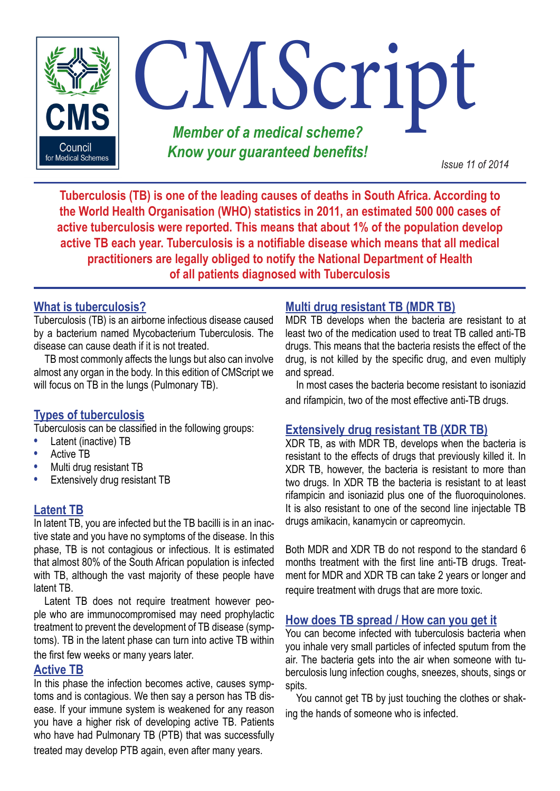

**Tuberculosis (TB) is one of the leading causes of deaths in South Africa. According to the World Health Organisation (WHO) statistics in 2011, an estimated 500 000 cases of active tuberculosis were reported. This means that about 1% of the population develop active TB each year. Tuberculosis is a notifiable disease which means that all medical practitioners are legally obliged to notify the National Department of Health of all patients diagnosed with Tuberculosis**

# **What is tuberculosis?**

Tuberculosis (TB) is an airborne infectious disease caused by a bacterium named Mycobacterium Tuberculosis. The disease can cause death if it is not treated.

TB most commonly affects the lungs but also can involve almost any organ in the body. In this edition of CMScript we will focus on TB in the lungs (Pulmonary TB).

# **Types of tuberculosis**

Tuberculosis can be classified in the following groups:

- **•** Latent (inactive) TB
- **•** Active TB
- **•** Multi drug resistant TB
- **•** Extensively drug resistant TB

# **Latent TB**

In latent TB, you are infected but the TB bacilli is in an inactive state and you have no symptoms of the disease. In this phase, TB is not contagious or infectious. It is estimated that almost 80% of the South African population is infected with TB, although the vast majority of these people have latent TB.

Latent TB does not require treatment however people who are immunocompromised may need prophylactic treatment to prevent the development of TB disease (symptoms). TB in the latent phase can turn into active TB within

the first few weeks or many years later.

### **Active TB**

In this phase the infection becomes active, causes symptoms and is contagious. We then say a person has TB disease. If your immune system is weakened for any reason you have a higher risk of developing active TB. Patients who have had Pulmonary TB (PTB) that was successfully treated may develop PTB again, even after many years.

## **Multi drug resistant TB (MDR TB)**

MDR TB develops when the bacteria are resistant to at least two of the medication used to treat TB called anti-TB drugs. This means that the bacteria resists the effect of the drug, is not killed by the specific drug, and even multiply and spread.

In most cases the bacteria become resistant to isoniazid and rifampicin, two of the most effective anti-TB drugs.

### **Extensively drug resistant TB (XDR TB)**

XDR TB, as with MDR TB, develops when the bacteria is resistant to the effects of drugs that previously killed it. In XDR TB, however, the bacteria is resistant to more than two drugs. In XDR TB the bacteria is resistant to at least rifampicin and isoniazid plus one of the fluoroquinolones. It is also resistant to one of the second line injectable TB drugs amikacin, kanamycin or capreomycin.

Both MDR and XDR TB do not respond to the standard 6 months treatment with the first line anti-TB drugs. Treatment for MDR and XDR TB can take 2 years or longer and require treatment with drugs that are more toxic.

### **How does TB spread / How can you get it**

You can become infected with tuberculosis bacteria when you inhale very small particles of infected sputum from the air. The bacteria gets into the air when someone with tuberculosis lung infection coughs, sneezes, shouts, sings or spits.

You cannot get TB by just touching the clothes or shaking the hands of someone who is infected.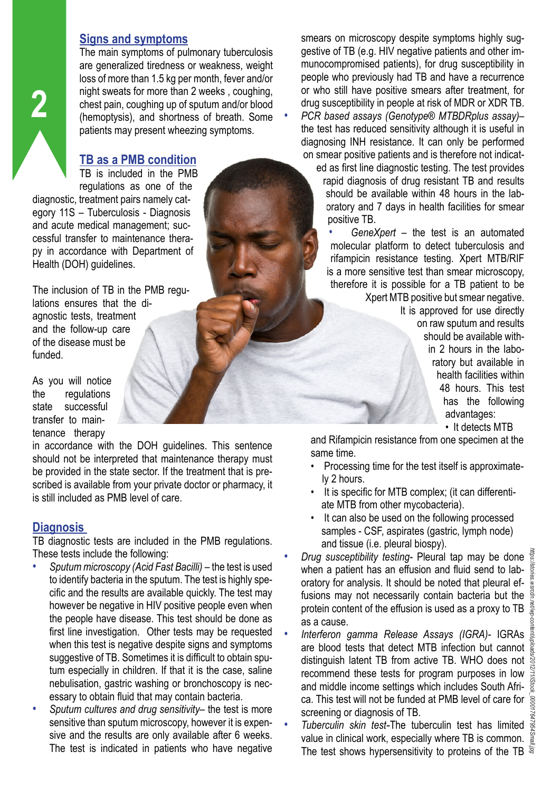#### **Signs and symptoms**

The main symptoms of pulmonary tuberculosis are generalized tiredness or weakness, weight loss of more than 1.5 kg per month, fever and/or night sweats for more than 2 weeks , coughing, chest pain, coughing up of sputum and/or blood (hemoptysis), and shortness of breath. Some patients may present wheezing symptoms.

## **TB as a PMB condition**

TB is included in the PMB regulations as one of the diagnostic, treatment pairs namely category 11S – Tuberculosis - Diagnosis and acute medical management; successful transfer to maintenance therapy in accordance with Department of Health (DOH) guidelines.

The inclusion of TB in the PMB regulations ensures that the diagnostic tests, treatment and the follow-up care of the disease must be funded.

As you will notice the regulations state successful transfer to maintenance therapy

in accordance with the DOH guidelines. This sentence should not be interpreted that maintenance therapy must be provided in the state sector. If the treatment that is prescribed is available from your private doctor or pharmacy, it is still included as PMB level of care.

# **Diagnosis**

TB diagnostic tests are included in the PMB regulations. These tests include the following:

- *• Sputum microscopy (Acid Fast Bacilli)* the test is used to identify bacteria in the sputum. The test is highly specific and the results are available quickly. The test may however be negative in HIV positive people even when the people have disease. This test should be done as first line investigation. Other tests may be requested when this test is negative despite signs and symptoms suggestive of TB. Sometimes it is difficult to obtain sputum especially in children. If that it is the case, saline nebulisation, gastric washing or bronchoscopy is necessary to obtain fluid that may contain bacteria.
- *• Sputum cultures and drug sensitivity* the test is more sensitive than sputum microscopy, however it is expensive and the results are only available after 6 weeks. The test is indicated in patients who have negative

smears on microscopy despite symptoms highly suggestive of TB (e.g. HIV negative patients and other immunocompromised patients), for drug susceptibility in people who previously had TB and have a recurrence or who still have positive smears after treatment, for drug susceptibility in people at risk of MDR or XDR TB. *• PCR based assays (Genotype® MTBDRplus assay)*– the test has reduced sensitivity although it is useful in diagnosing INH resistance. It can only be performed on smear positive patients and is therefore not indicated as first line diagnostic testing. The test provides

rapid diagnosis of drug resistant TB and results should be available within 48 hours in the laboratory and 7 days in health facilities for smear positive TB.

*• GeneXpert* – the test is an automated molecular platform to detect tuberculosis and rifampicin resistance testing. Xpert MTB/RIF is a more sensitive test than smear microscopy, therefore it is possible for a TB patient to be Xpert MTB positive but smear negative. It is approved for use directly on raw sputum and results should be available within 2 hours in the labo-

> ratory but available in health facilities within 48 hours. This test has the following advantages:

• It detects MTB

and Rifampicin resistance from one specimen at the same time.

- Processing time for the test itself is approximately 2 hours.
- It is specific for MTB complex; (it can differentiate MTB from other mycobacteria).
- It can also be used on the following processed samples - CSF, aspirates (gastric, lymph node) and tissue (i.e. pleural biospy).
- *• Drug susceptibility testing-* Pleural tap may be done when a patient has an effusion and fluid send to laboratory for analysis. It should be noted that pleural effusions may not necessarily contain bacteria but the § protein content of the effusion is used as a proxy to TB as a cause.
- *• Interferon gamma Release Assays (IGRA)-* IGRAs are blood tests that detect MTB infection but cannot distinguish latent TB from active TB. WHO does not recommend these tests for program purposes in low recommend these tests for program purposes in low  $\frac{3}{50}$ <br>and middle income settings which includes South Africa. This test will not be funded at PMB level of care for  $\frac{1}{8}$ screening or diagnosis of TB.
- *Tuberculin skin test*-The tuberculin test has limited value in clinical work, especially where TB is common. The test shows hypersensitivity to proteins of the TB  $\overline{\overline{s}}$

**2**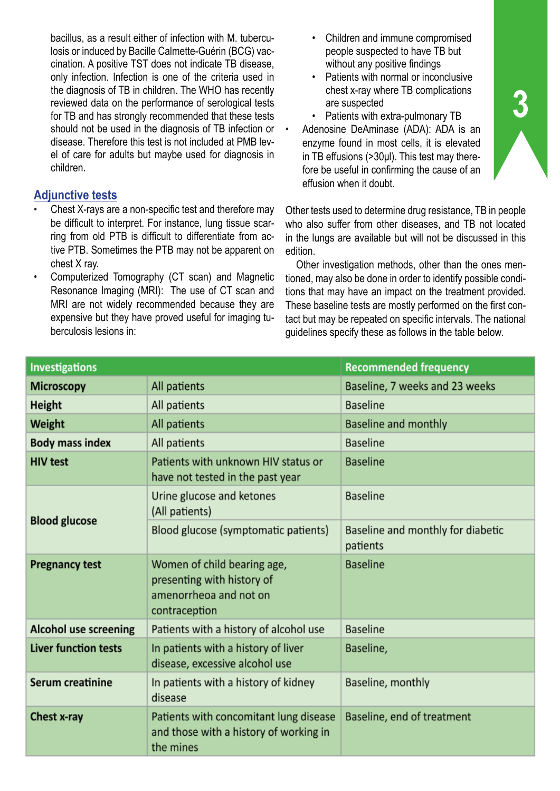bacillus, as a result either of infection with M. tuberculosis or induced by Bacille Calmette-Guérin (BCG) vaccination. A positive TST does not indicate TB disease, only infection. Infection is one of the criteria used in the diagnosis of TB in children. The WHO has recently reviewed data on the performance of serological tests for TB and has strongly recommended that these tests should not be used in the diagnosis of TB infection or disease. Therefore this test is not included at PMB level of care for adults but maybe used for diagnosis in children.

## **Adjunctive tests**

- Chest X-rays are a non-specific test and therefore may be difficult to interpret. For instance, lung tissue scarring from old PTB is difficult to differentiate from active PTB. Sometimes the PTB may not be apparent on chest X ray.
- Computerized Tomography (CT scan) and Magnetic Resonance Imaging (MRI): The use of CT scan and MRI are not widely recommended because they are expensive but they have proved useful for imaging tuberculosis lesions in:
- Children and immune compromised people suspected to have TB but without any positive findings
- Patients with normal or inconclusive chest x-ray where TB complications are suspected
- Patients with extra-pulmonary TB
- Adenosine DeAminase (ADA): ADA is an enzyme found in most cells, it is elevated in TB effusions (>30μl). This test may therefore be useful in confirming the cause of an effusion when it doubt.

Other tests used to determine drug resistance, TB in people who also suffer from other diseases, and TB not located in the lungs are available but will not be discussed in this edition.

Other investigation methods, other than the ones mentioned, may also be done in order to identify possible conditions that may have an impact on the treatment provided. These baseline tests are mostly performed on the first contact but may be repeated on specific intervals. The national guidelines specify these as follows in the table below.

| <b>Investigations</b>        |                                                                                                      | <b>Recommended frequency</b>                  |  |
|------------------------------|------------------------------------------------------------------------------------------------------|-----------------------------------------------|--|
| <b>Microscopy</b>            | All patients                                                                                         | Baseline, 7 weeks and 23 weeks                |  |
| Height                       | All patients                                                                                         | <b>Baseline</b>                               |  |
| Weight                       | All patients                                                                                         | <b>Baseline and monthly</b>                   |  |
| <b>Body mass index</b>       | All patients                                                                                         | <b>Baseline</b>                               |  |
| <b>HIV test</b>              | Patients with unknown HIV status or<br>have not tested in the past year                              | <b>Baseline</b>                               |  |
| <b>Blood glucose</b>         | Urine glucose and ketones<br>(All patients)                                                          | <b>Baseline</b>                               |  |
|                              | Blood glucose (symptomatic patients)                                                                 | Baseline and monthly for diabetic<br>patients |  |
| <b>Pregnancy test</b>        | Women of child bearing age,<br>presenting with history of<br>amenorrheoa and not on<br>contraception | <b>Baseline</b>                               |  |
| <b>Alcohol use screening</b> | Patients with a history of alcohol use                                                               | <b>Baseline</b>                               |  |
| <b>Liver function tests</b>  | In patients with a history of liver<br>disease, excessive alcohol use                                | Baseline,                                     |  |
| Serum creatinine             | In patients with a history of kidney<br>disease                                                      | Baseline, monthly                             |  |
| Chest x-ray                  | Patients with concomitant lung disease<br>and those with a history of working in<br>the mines        | Baseline, end of treatment                    |  |